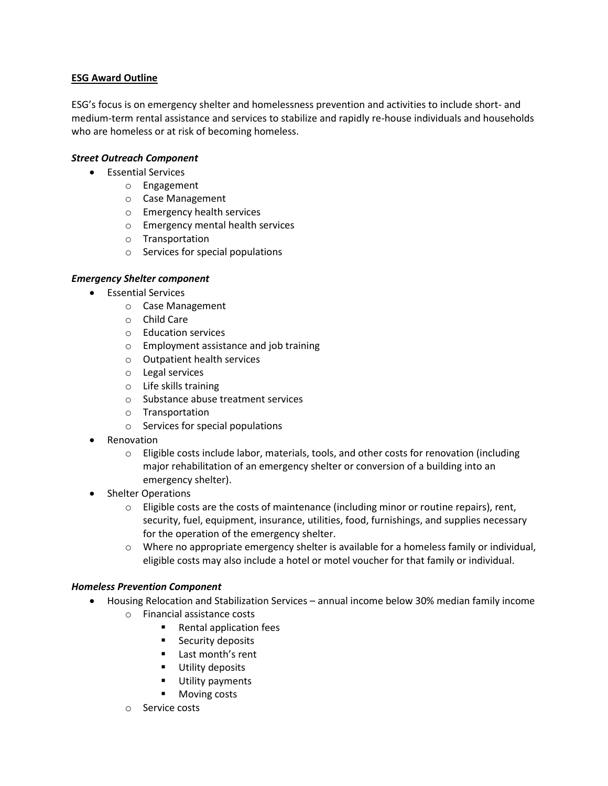# **ESG Award Outline**

ESG's focus is on emergency shelter and homelessness prevention and activities to include short- and medium-term rental assistance and services to stabilize and rapidly re-house individuals and households who are homeless or at risk of becoming homeless.

# *Street Outreach Component*

- **•** Essential Services
	- o Engagement
	- o Case Management
	- o Emergency health services
	- o Emergency mental health services
	- o Transportation
	- o Services for special populations

## *Emergency Shelter component*

- Essential Services
	- o Case Management
	- o Child Care
	- o Education services
	- o Employment assistance and job training
	- o Outpatient health services
	- o Legal services
	- o Life skills training
	- o Substance abuse treatment services
	- o Transportation
	- o Services for special populations
- Renovation
	- o Eligible costs include labor, materials, tools, and other costs for renovation (including major rehabilitation of an emergency shelter or conversion of a building into an emergency shelter).
- Shelter Operations
	- $\circ$  Eligible costs are the costs of maintenance (including minor or routine repairs), rent, security, fuel, equipment, insurance, utilities, food, furnishings, and supplies necessary for the operation of the emergency shelter.
	- $\circ$  Where no appropriate emergency shelter is available for a homeless family or individual, eligible costs may also include a hotel or motel voucher for that family or individual.

## *Homeless Prevention Component*

- Housing Relocation and Stabilization Services annual income below 30% median family income
	- o Financial assistance costs
		- Rental application fees
		- **Security deposits**
		- **Last month's rent**
		- **Utility deposits**
		- **Utility payments**
		- **Moving costs**
	- o Service costs